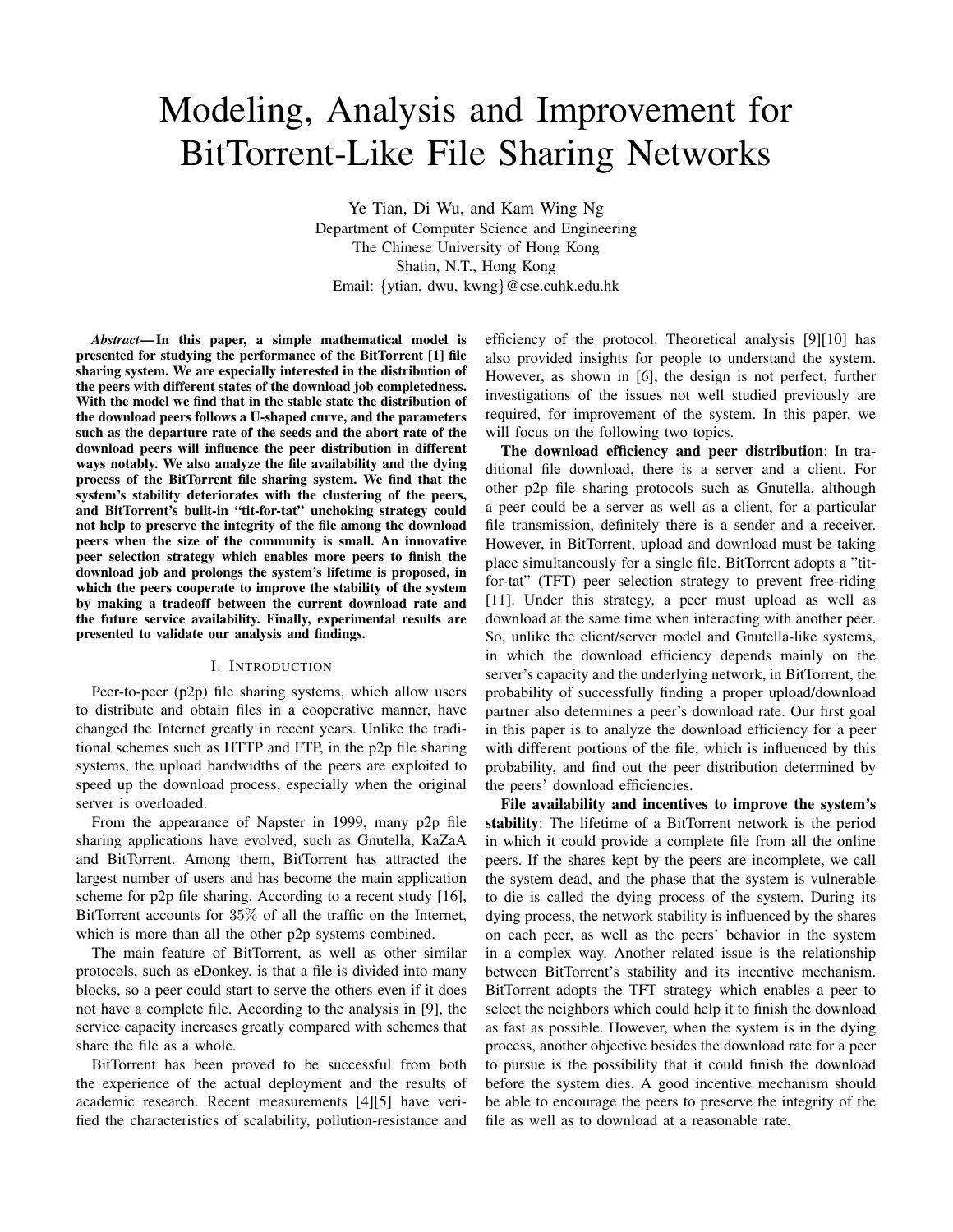# Modeling, Analysis and Improvement for BitTorrent-Like File Sharing Networks

Ye Tian, Di Wu, and Kam Wing Ng Department of Computer Science and Engineering The Chinese University of Hong Kong Shatin, N.T., Hong Kong Email: {ytian, dwu, kwng}@cse.cuhk.edu.hk

*Abstract*— In this paper, a simple mathematical model is presented for studying the performance of the BitTorrent [1] file sharing system. We are especially interested in the distribution of the peers with different states of the download job completedness. With the model we find that in the stable state the distribution of the download peers follows a U-shaped curve, and the parameters such as the departure rate of the seeds and the abort rate of the download peers will influence the peer distribution in different ways notably. We also analyze the file availability and the dying process of the BitTorrent file sharing system. We find that the system's stability deteriorates with the clustering of the peers, and BitTorrent's built-in "tit-for-tat" unchoking strategy could not help to preserve the integrity of the file among the download peers when the size of the community is small. An innovative peer selection strategy which enables more peers to finish the download job and prolongs the system's lifetime is proposed, in which the peers cooperate to improve the stability of the system by making a tradeoff between the current download rate and the future service availability. Finally, experimental results are presented to validate our analysis and findings.

## I. INTRODUCTION

Peer-to-peer (p2p) file sharing systems, which allow users to distribute and obtain files in a cooperative manner, have changed the Internet greatly in recent years. Unlike the traditional schemes such as HTTP and FTP, in the p2p file sharing systems, the upload bandwidths of the peers are exploited to speed up the download process, especially when the original server is overloaded.

From the appearance of Napster in 1999, many p2p file sharing applications have evolved, such as Gnutella, KaZaA and BitTorrent. Among them, BitTorrent has attracted the largest number of users and has become the main application scheme for p2p file sharing. According to a recent study [16], BitTorrent accounts for 35% of all the traffic on the Internet, which is more than all the other p2p systems combined.

The main feature of BitTorrent, as well as other similar protocols, such as eDonkey, is that a file is divided into many blocks, so a peer could start to serve the others even if it does not have a complete file. According to the analysis in [9], the service capacity increases greatly compared with schemes that share the file as a whole.

BitTorrent has been proved to be successful from both the experience of the actual deployment and the results of academic research. Recent measurements [4][5] have verified the characteristics of scalability, pollution-resistance and efficiency of the protocol. Theoretical analysis [9][10] has also provided insights for people to understand the system. However, as shown in [6], the design is not perfect, further investigations of the issues not well studied previously are required, for improvement of the system. In this paper, we will focus on the following two topics.

The download efficiency and peer distribution: In traditional file download, there is a server and a client. For other p2p file sharing protocols such as Gnutella, although a peer could be a server as well as a client, for a particular file transmission, definitely there is a sender and a receiver. However, in BitTorrent, upload and download must be taking place simultaneously for a single file. BitTorrent adopts a "titfor-tat" (TFT) peer selection strategy to prevent free-riding [11]. Under this strategy, a peer must upload as well as download at the same time when interacting with another peer. So, unlike the client/server model and Gnutella-like systems, in which the download efficiency depends mainly on the server's capacity and the underlying network, in BitTorrent, the probability of successfully finding a proper upload/download partner also determines a peer's download rate. Our first goal in this paper is to analyze the download efficiency for a peer with different portions of the file, which is influenced by this probability, and find out the peer distribution determined by the peers' download efficiencies.

File availability and incentives to improve the system's stability: The lifetime of a BitTorrent network is the period in which it could provide a complete file from all the online peers. If the shares kept by the peers are incomplete, we call the system dead, and the phase that the system is vulnerable to die is called the dying process of the system. During its dying process, the network stability is influenced by the shares on each peer, as well as the peers' behavior in the system in a complex way. Another related issue is the relationship between BitTorrent's stability and its incentive mechanism. BitTorrent adopts the TFT strategy which enables a peer to select the neighbors which could help it to finish the download as fast as possible. However, when the system is in the dying process, another objective besides the download rate for a peer to pursue is the possibility that it could finish the download before the system dies. A good incentive mechanism should be able to encourage the peers to preserve the integrity of the file as well as to download at a reasonable rate.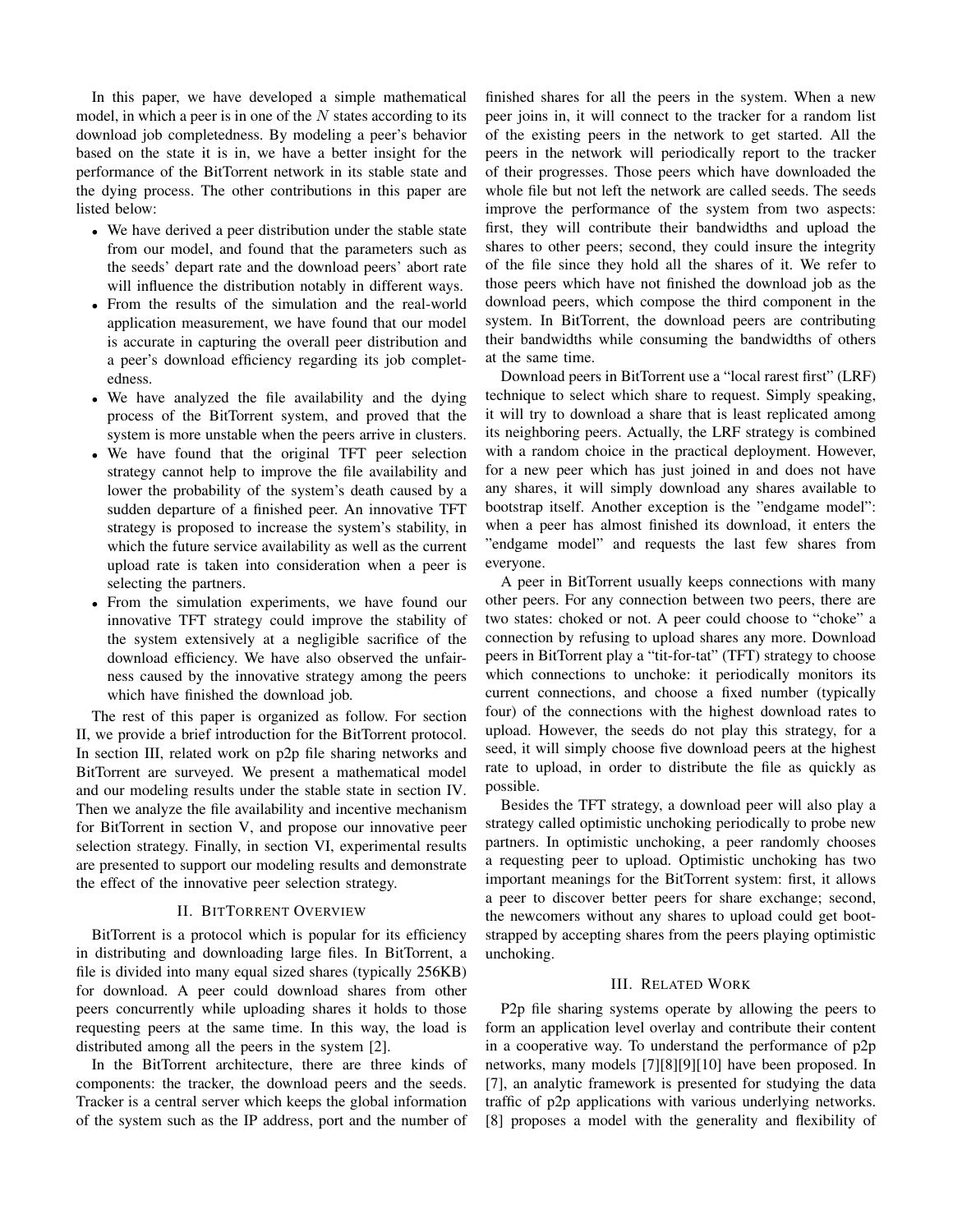In this paper, we have developed a simple mathematical model, in which a peer is in one of the  $N$  states according to its download job completedness. By modeling a peer's behavior based on the state it is in, we have a better insight for the performance of the BitTorrent network in its stable state and the dying process. The other contributions in this paper are listed below:

- We have derived a peer distribution under the stable state from our model, and found that the parameters such as the seeds' depart rate and the download peers' abort rate will influence the distribution notably in different ways.
- From the results of the simulation and the real-world application measurement, we have found that our model is accurate in capturing the overall peer distribution and a peer's download efficiency regarding its job completedness.
- We have analyzed the file availability and the dying process of the BitTorrent system, and proved that the system is more unstable when the peers arrive in clusters.
- We have found that the original TFT peer selection strategy cannot help to improve the file availability and lower the probability of the system's death caused by a sudden departure of a finished peer. An innovative TFT strategy is proposed to increase the system's stability, in which the future service availability as well as the current upload rate is taken into consideration when a peer is selecting the partners.
- From the simulation experiments, we have found our innovative TFT strategy could improve the stability of the system extensively at a negligible sacrifice of the download efficiency. We have also observed the unfairness caused by the innovative strategy among the peers which have finished the download job.

The rest of this paper is organized as follow. For section II, we provide a brief introduction for the BitTorrent protocol. In section III, related work on p2p file sharing networks and BitTorrent are surveyed. We present a mathematical model and our modeling results under the stable state in section IV. Then we analyze the file availability and incentive mechanism for BitTorrent in section V, and propose our innovative peer selection strategy. Finally, in section VI, experimental results are presented to support our modeling results and demonstrate the effect of the innovative peer selection strategy.

## II. BITTORRENT OVERVIEW

BitTorrent is a protocol which is popular for its efficiency in distributing and downloading large files. In BitTorrent, a file is divided into many equal sized shares (typically 256KB) for download. A peer could download shares from other peers concurrently while uploading shares it holds to those requesting peers at the same time. In this way, the load is distributed among all the peers in the system [2].

In the BitTorrent architecture, there are three kinds of components: the tracker, the download peers and the seeds. Tracker is a central server which keeps the global information of the system such as the IP address, port and the number of finished shares for all the peers in the system. When a new peer joins in, it will connect to the tracker for a random list of the existing peers in the network to get started. All the peers in the network will periodically report to the tracker of their progresses. Those peers which have downloaded the whole file but not left the network are called seeds. The seeds improve the performance of the system from two aspects: first, they will contribute their bandwidths and upload the shares to other peers; second, they could insure the integrity of the file since they hold all the shares of it. We refer to those peers which have not finished the download job as the download peers, which compose the third component in the system. In BitTorrent, the download peers are contributing their bandwidths while consuming the bandwidths of others at the same time.

Download peers in BitTorrent use a "local rarest first" (LRF) technique to select which share to request. Simply speaking, it will try to download a share that is least replicated among its neighboring peers. Actually, the LRF strategy is combined with a random choice in the practical deployment. However, for a new peer which has just joined in and does not have any shares, it will simply download any shares available to bootstrap itself. Another exception is the "endgame model": when a peer has almost finished its download, it enters the "endgame model" and requests the last few shares from everyone.

A peer in BitTorrent usually keeps connections with many other peers. For any connection between two peers, there are two states: choked or not. A peer could choose to "choke" a connection by refusing to upload shares any more. Download peers in BitTorrent play a "tit-for-tat" (TFT) strategy to choose which connections to unchoke: it periodically monitors its current connections, and choose a fixed number (typically four) of the connections with the highest download rates to upload. However, the seeds do not play this strategy, for a seed, it will simply choose five download peers at the highest rate to upload, in order to distribute the file as quickly as possible.

Besides the TFT strategy, a download peer will also play a strategy called optimistic unchoking periodically to probe new partners. In optimistic unchoking, a peer randomly chooses a requesting peer to upload. Optimistic unchoking has two important meanings for the BitTorrent system: first, it allows a peer to discover better peers for share exchange; second, the newcomers without any shares to upload could get bootstrapped by accepting shares from the peers playing optimistic unchoking.

#### III. RELATED WORK

P2p file sharing systems operate by allowing the peers to form an application level overlay and contribute their content in a cooperative way. To understand the performance of p2p networks, many models [7][8][9][10] have been proposed. In [7], an analytic framework is presented for studying the data traffic of p2p applications with various underlying networks. [8] proposes a model with the generality and flexibility of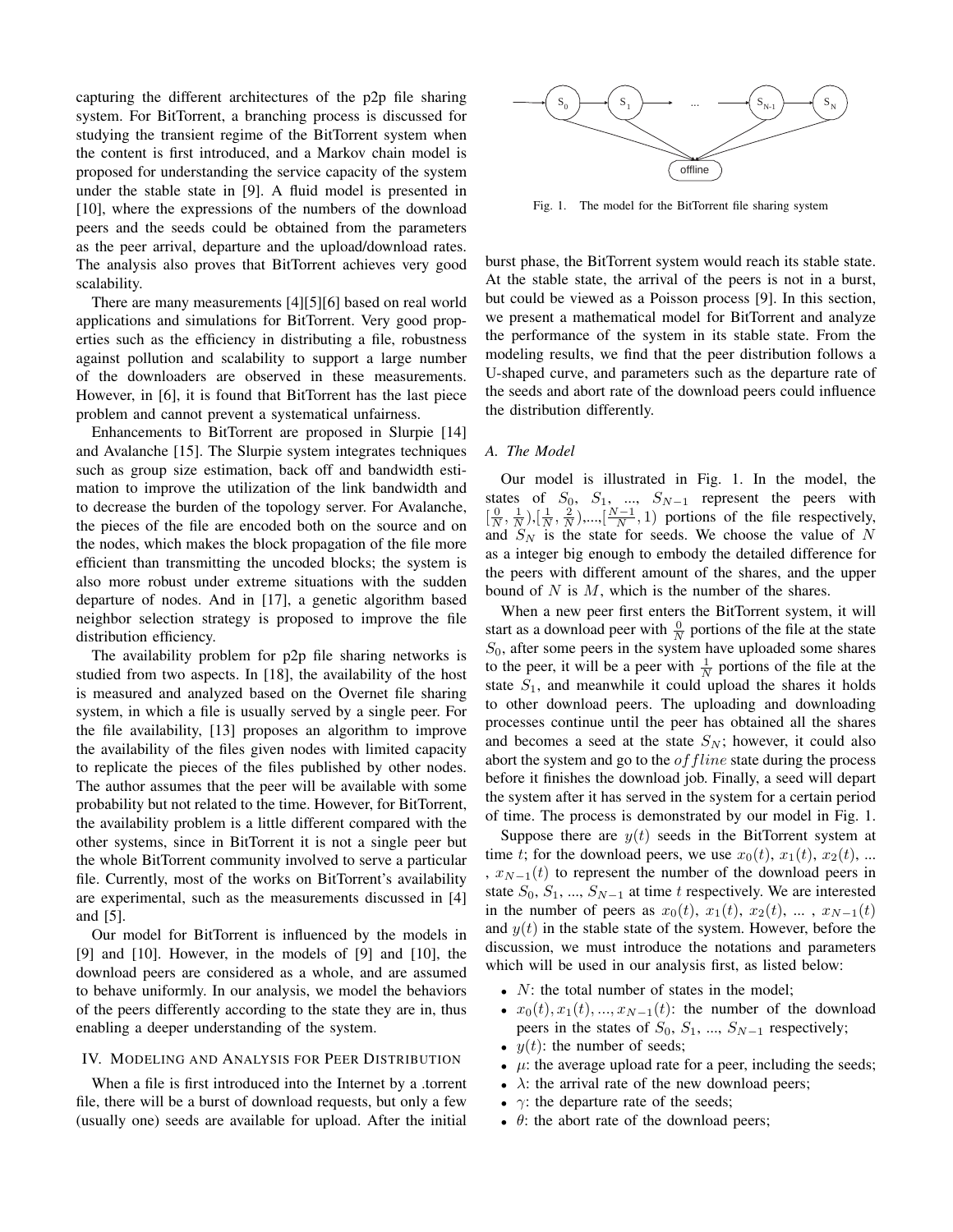capturing the different architectures of the p2p file sharing system. For BitTorrent, a branching process is discussed for studying the transient regime of the BitTorrent system when the content is first introduced, and a Markov chain model is proposed for understanding the service capacity of the system under the stable state in [9]. A fluid model is presented in [10], where the expressions of the numbers of the download peers and the seeds could be obtained from the parameters as the peer arrival, departure and the upload/download rates. The analysis also proves that BitTorrent achieves very good scalability.

There are many measurements [4][5][6] based on real world applications and simulations for BitTorrent. Very good properties such as the efficiency in distributing a file, robustness against pollution and scalability to support a large number of the downloaders are observed in these measurements. However, in [6], it is found that BitTorrent has the last piece problem and cannot prevent a systematical unfairness.

Enhancements to BitTorrent are proposed in Slurpie [14] and Avalanche [15]. The Slurpie system integrates techniques such as group size estimation, back off and bandwidth estimation to improve the utilization of the link bandwidth and to decrease the burden of the topology server. For Avalanche, the pieces of the file are encoded both on the source and on the nodes, which makes the block propagation of the file more efficient than transmitting the uncoded blocks; the system is also more robust under extreme situations with the sudden departure of nodes. And in [17], a genetic algorithm based neighbor selection strategy is proposed to improve the file distribution efficiency.

The availability problem for p2p file sharing networks is studied from two aspects. In [18], the availability of the host is measured and analyzed based on the Overnet file sharing system, in which a file is usually served by a single peer. For the file availability, [13] proposes an algorithm to improve the availability of the files given nodes with limited capacity to replicate the pieces of the files published by other nodes. The author assumes that the peer will be available with some probability but not related to the time. However, for BitTorrent, the availability problem is a little different compared with the other systems, since in BitTorrent it is not a single peer but the whole BitTorrent community involved to serve a particular file. Currently, most of the works on BitTorrent's availability are experimental, such as the measurements discussed in [4] and [5].

Our model for BitTorrent is influenced by the models in [9] and [10]. However, in the models of [9] and [10], the download peers are considered as a whole, and are assumed to behave uniformly. In our analysis, we model the behaviors of the peers differently according to the state they are in, thus enabling a deeper understanding of the system.

## IV. MODELING AND ANALYSIS FOR PEER DISTRIBUTION

When a file is first introduced into the Internet by a .torrent file, there will be a burst of download requests, but only a few (usually one) seeds are available for upload. After the initial



Fig. 1. The model for the BitTorrent file sharing system

burst phase, the BitTorrent system would reach its stable state. At the stable state, the arrival of the peers is not in a burst, but could be viewed as a Poisson process [9]. In this section, we present a mathematical model for BitTorrent and analyze the performance of the system in its stable state. From the modeling results, we find that the peer distribution follows a U-shaped curve, and parameters such as the departure rate of the seeds and abort rate of the download peers could influence the distribution differently.

## *A. The Model*

Our model is illustrated in Fig. 1. In the model, the states of  $S_0$ ,  $S_1$ , ...,  $S_{N-1}$  represent the peers with  $\left[\frac{0}{N}, \frac{1}{N}\right], \left[\frac{1}{N}, \frac{2}{N}\right], \dots, \left[\frac{N-1}{N}, 1\right)$  portions of the file respectively, and  $S_N$  is the state for seeds. We choose the value of N as a integer big enough to embody the detailed difference for the peers with different amount of the shares, and the upper bound of  $N$  is  $M$ , which is the number of the shares.

When a new peer first enters the BitTorrent system, it will start as a download peer with  $\frac{0}{N}$  portions of the file at the state  $S_0$ , after some peers in the system have uploaded some shares to the peer, it will be a peer with  $\frac{1}{N}$  portions of the file at the state  $S_1$ , and meanwhile it could upload the shares it holds to other download peers. The uploading and downloading processes continue until the peer has obtained all the shares and becomes a seed at the state  $S_N$ ; however, it could also abort the system and go to the  $of$  fline state during the process before it finishes the download job. Finally, a seed will depart the system after it has served in the system for a certain period of time. The process is demonstrated by our model in Fig. 1.

Suppose there are  $y(t)$  seeds in the BitTorrent system at time t; for the download peers, we use  $x_0(t)$ ,  $x_1(t)$ ,  $x_2(t)$ , ... ,  $x_{N-1}(t)$  to represent the number of the download peers in state  $S_0$ ,  $S_1$ , ...,  $S_{N-1}$  at time t respectively. We are interested in the number of peers as  $x_0(t)$ ,  $x_1(t)$ ,  $x_2(t)$ , ...,  $x_{N-1}(t)$ and  $y(t)$  in the stable state of the system. However, before the discussion, we must introduce the notations and parameters which will be used in our analysis first, as listed below:

- $N$ : the total number of states in the model;
- $x_0(t), x_1(t), ..., x_{N-1}(t)$ : the number of the download peers in the states of  $S_0$ ,  $S_1$ , ...,  $S_{N-1}$  respectively;
- $y(t)$ : the number of seeds;
- $\mu$ : the average upload rate for a peer, including the seeds;
- $\lambda$ : the arrival rate of the new download peers;
- $\gamma$ : the departure rate of the seeds;
- $\theta$ : the abort rate of the download peers;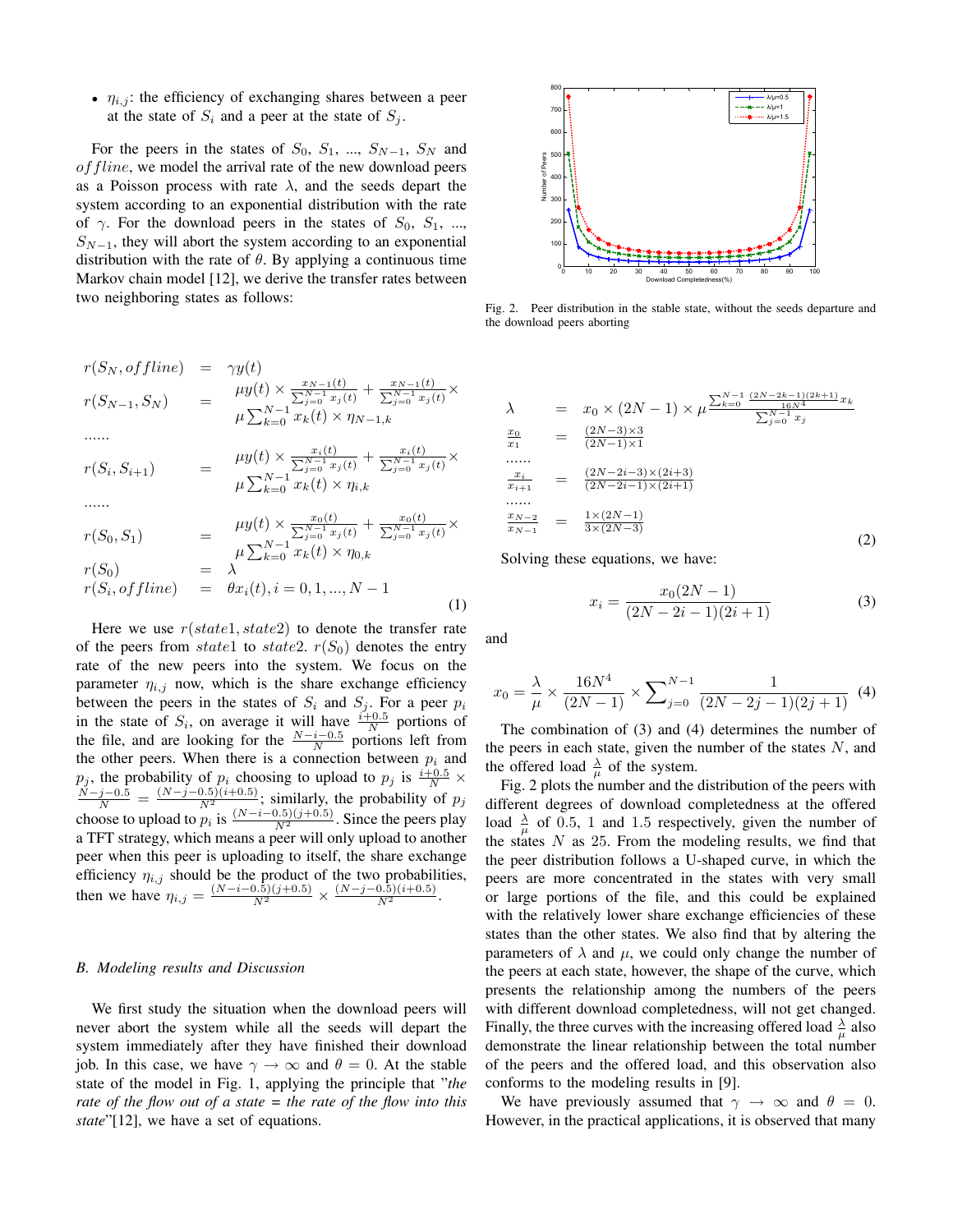•  $\eta_{i,j}$ : the efficiency of exchanging shares between a peer at the state of  $S_i$  and a peer at the state of  $S_j$ .

For the peers in the states of  $S_0$ ,  $S_1$ , ...,  $S_{N-1}$ ,  $S_N$  and  $of$   $filename$ , we model the arrival rate of the new download peers as a Poisson process with rate  $\lambda$ , and the seeds depart the system according to an exponential distribution with the rate of  $\gamma$ . For the download peers in the states of  $S_0$ ,  $S_1$ , ...,  $S_{N-1}$ , they will abort the system according to an exponential distribution with the rate of  $\theta$ . By applying a continuous time Markov chain model [12], we derive the transfer rates between two neighboring states as follows:

$$
r(S_N, ofline) = \gamma y(t)
$$
  
\n
$$
r(S_{N-1}, S_N) = \mu y(t) \times \frac{x_{N-1}(t)}{\sum_{j=0}^{N-1} x_j(t)} + \frac{x_{N-1}(t)}{\sum_{j=0}^{N-1} x_j(t)} \times \mu \sum_{k=0}^{N-1} x_k(t) \times \eta_{N-1,k}
$$

......

$$
r(S_i, S_{i+1}) = \frac{\mu y(t) \times \frac{x_i(t)}{\sum_{j=0}^{N-1} x_j(t)} + \frac{x_i(t)}{\sum_{j=0}^{N-1} x_j(t)} \times \mu \sum_{k=0}^{N-1} x_k(t) \times \eta_{i,k}}
$$

......

$$
r(S_0, S_1) = \mu y(t) \times \frac{x_0(t)}{\sum_{j=0}^{N-1} x_j(t)} + \frac{x_0(t)}{\sum_{j=0}^{N-1} x_j(t)} \times \nr(S_0) = \lambda \nr(S_i, of line) = \theta x_i(t), i = 0, 1, ..., N - 1
$$
\n(1)

 $\eta_{i,k}$ 

Here we use  $r(state1, state2)$  to denote the transfer rate of the peers from state1 to state2.  $r(S_0)$  denotes the entry rate of the new peers into the system. We focus on the parameter  $\eta_{i,j}$  now, which is the share exchange efficiency between the peers in the states of  $S_i$  and  $S_j$ . For a peer  $p_i$ in the state of  $S_i$ , on average it will have  $\frac{i+0.5}{N}$  portions of the file, and are looking for the  $\frac{N-i-0.5}{N}$  portions left from the other peers. When there is a connection between  $p_i$  and  $p_j$ , the probability of  $p_i$  choosing to upload to  $p_j$  is  $\frac{i+0.5}{N} \times \frac{N-j-0.5}{N} = \frac{(N-j-0.5)(i+0.5)}{N^2}$ ; similarly, the probability of  $p_j$ choose to upload to  $p_i$  is  $\frac{(N-i-0.5)(j+0.5)}{N^2}$ . Since the peers play a TFT strategy, which means a peer will only upload to another peer when this peer is uploading to itself, the share exchange efficiency  $\eta_{i,j}$  should be the product of the two probabilities, then we have  $\eta_{i,j} = \frac{(N-i-0.5)(j+0.5)}{N^2} \times \frac{(N-j-0.5)(i+0.5)}{N^2}$ .

#### *B. Modeling results and Discussion*

We first study the situation when the download peers will never abort the system while all the seeds will depart the system immediately after they have finished their download job. In this case, we have  $\gamma \to \infty$  and  $\theta = 0$ . At the stable state of the model in Fig. 1, applying the principle that "*the rate of the flow out of a state = the rate of the flow into this state*"[12], we have a set of equations.



Fig. 2. Peer distribution in the stable state, without the seeds departure and the download peers aborting

$$
\lambda = x_0 \times (2N - 1) \times \mu^{\frac{\sum_{k=0}^{N-1} (2N - 2k - 1)(2k + 1)}{16N^4} x_k}
$$
\n
$$
= \frac{(2N - 3) \times 3}{(2N - 1) \times 1}
$$
\n
$$
\dots
$$
\n
$$
x_i
$$
\n
$$
= \frac{x_i}{(2N - 2i - 3) \times (2i + 3)}
$$
\n
$$
\dots
$$
\n
$$
x_{i+1}
$$
\n
$$
= \frac{2N - 2i - 3 \times (2i + 3)}{(2N - 2i - 1) \times (2i + 1)}
$$
\n
$$
\dots
$$
\n
$$
\frac{x_{N-2}}{x_{N-1}} = \frac{1 \times (2N - 1)}{3 \times (2N - 3)}
$$
\n(2)

Solving these equations, we have:

$$
x_i = \frac{x_0(2N-1)}{(2N-2i-1)(2i+1)}
$$
 (3)

and

$$
x_0 = \frac{\lambda}{\mu} \times \frac{16N^4}{(2N-1)} \times \sum_{j=0}^{N-1} \frac{1}{(2N-2j-1)(2j+1)}
$$
 (4)

The combination of (3) and (4) determines the number of the peers in each state, given the number of the states  $N$ , and the offered load  $\frac{\lambda}{\mu}$  of the system.

Fig. 2 plots the number and the distribution of the peers with different degrees of download completedness at the offered load  $\frac{\lambda}{\mu}$  of 0.5, 1 and 1.5 respectively, given the number of the states  $N$  as 25. From the modeling results, we find that the peer distribution follows a U-shaped curve, in which the peers are more concentrated in the states with very small or large portions of the file, and this could be explained with the relatively lower share exchange efficiencies of these states than the other states. We also find that by altering the parameters of  $\lambda$  and  $\mu$ , we could only change the number of the peers at each state, however, the shape of the curve, which presents the relationship among the numbers of the peers with different download completedness, will not get changed. Finally, the three curves with the increasing offered load  $\frac{\lambda}{\mu}$  also demonstrate the linear relationship between the total number of the peers and the offered load, and this observation also conforms to the modeling results in [9].

We have previously assumed that  $\gamma \to \infty$  and  $\theta = 0$ . However, in the practical applications, it is observed that many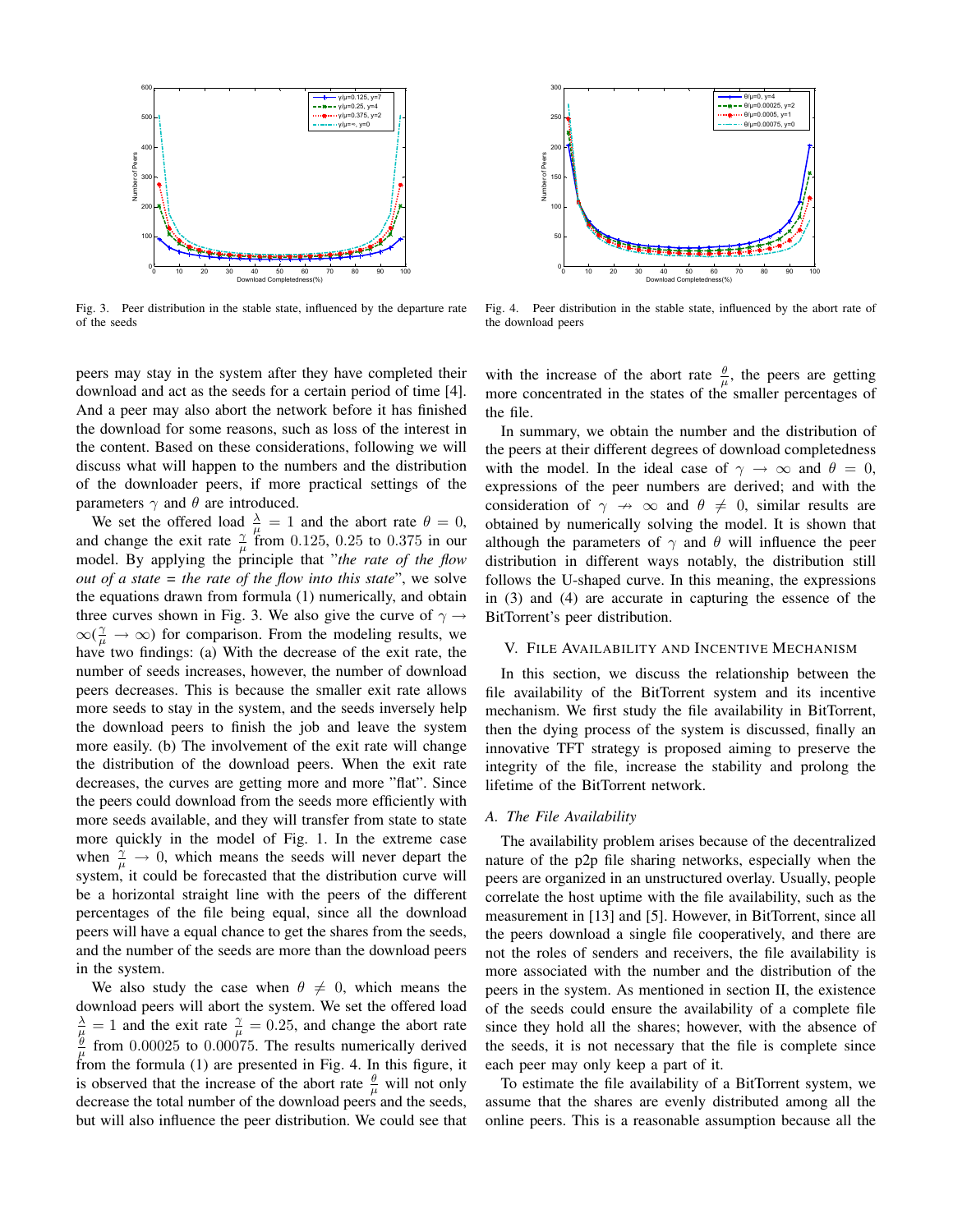

Fig. 3. Peer distribution in the stable state, influenced by the departure rate of the seeds

of the downloader peers, if more practical settings of the



parameters  $\gamma$  and  $\theta$  are introduced. We set the offered load  $\frac{\lambda}{\mu} = 1$  and the abort rate  $\theta = 0$ , and change the exit rate  $\frac{\gamma}{\mu}$  from 0.125, 0.25 to 0.375 in our model. By applying the principle that "*the rate of the flow out of a state = the rate of the flow into this state*", we solve the equations drawn from formula (1) numerically, and obtain three curves shown in Fig. 3. We also give the curve of  $\gamma \rightarrow$  $\infty(\frac{\gamma}{\mu} \to \infty)$  for comparison. From the modeling results, we have two findings: (a) With the decrease of the exit rate, the number of seeds increases, however, the number of download peers decreases. This is because the smaller exit rate allows more seeds to stay in the system, and the seeds inversely help the download peers to finish the job and leave the system more easily. (b) The involvement of the exit rate will change the distribution of the download peers. When the exit rate decreases, the curves are getting more and more "flat". Since the peers could download from the seeds more efficiently with more seeds available, and they will transfer from state to state more quickly in the model of Fig. 1. In the extreme case when  $\frac{\gamma}{\mu} \to 0$ , which means the seeds will never depart the system, it could be forecasted that the distribution curve will be a horizontal straight line with the peers of the different percentages of the file being equal, since all the download peers will have a equal chance to get the shares from the seeds, and the number of the seeds are more than the download peers in the system.

We also study the case when  $\theta \neq 0$ , which means the download peers will abort the system. We set the offered load  $\frac{\lambda}{\mu} = 1$  and the exit rate  $\frac{\gamma}{\mu} = 0.25$ , and change the abort rate  $\frac{\theta}{\mu}$  from 0.00025 to 0.00075. The results numerically derived from the formula  $(1)$  are presented in Fig. 4. In this figure, it is observed that the increase of the abort rate  $\frac{\theta}{\mu}$  will not only decrease the total number of the download peers and the seeds, but will also influence the peer distribution. We could see that



Fig. 4. Peer distribution in the stable state, influenced by the abort rate of the download peers

with the increase of the abort rate  $\frac{\theta}{\mu}$ , the peers are getting more concentrated in the states of the smaller percentages of

In summary, we obtain the number and the distribution of the peers at their different degrees of download completedness with the model. In the ideal case of  $\gamma \to \infty$  and  $\theta = 0$ , expressions of the peer numbers are derived; and with the consideration of  $\gamma \to \infty$  and  $\theta \neq 0$ , similar results are obtained by numerically solving the model. It is shown that although the parameters of  $\gamma$  and  $\theta$  will influence the peer distribution in different ways notably, the distribution still follows the U-shaped curve. In this meaning, the expressions in (3) and (4) are accurate in capturing the essence of the BitTorrent's peer distribution.

## V. FILE AVAILABILITY AND INCENTIVE MECHANISM

In this section, we discuss the relationship between the file availability of the BitTorrent system and its incentive mechanism. We first study the file availability in BitTorrent, then the dying process of the system is discussed, finally an innovative TFT strategy is proposed aiming to preserve the integrity of the file, increase the stability and prolong the lifetime of the BitTorrent network.

#### *A. The File Availability*

The availability problem arises because of the decentralized nature of the p2p file sharing networks, especially when the peers are organized in an unstructured overlay. Usually, people correlate the host uptime with the file availability, such as the measurement in [13] and [5]. However, in BitTorrent, since all the peers download a single file cooperatively, and there are not the roles of senders and receivers, the file availability is more associated with the number and the distribution of the peers in the system. As mentioned in section II, the existence of the seeds could ensure the availability of a complete file since they hold all the shares; however, with the absence of the seeds, it is not necessary that the file is complete since each peer may only keep a part of it.

To estimate the file availability of a BitTorrent system, we assume that the shares are evenly distributed among all the online peers. This is a reasonable assumption because all the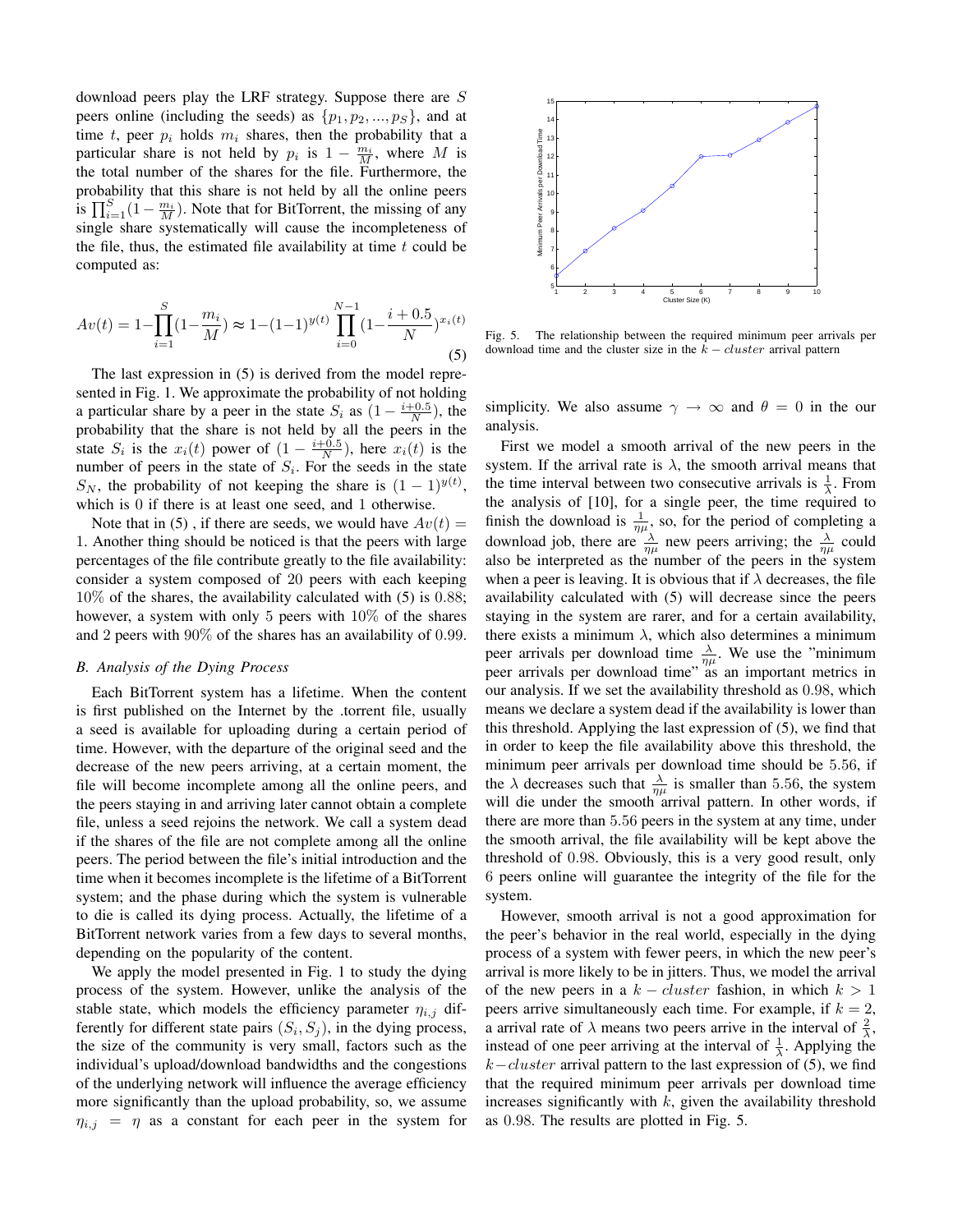download peers play the LRF strategy. Suppose there are S peers online (including the seeds) as  $\{p_1, p_2, ..., p_S\}$ , and at time t, peer  $p_i$  holds  $m_i$  shares, then the probability that a particular share is not held by  $p_i$  is  $1 - \frac{m_i}{M}$ , where M is the total number of the shares for the file. Furthermore, the probability that this share is not held by all the online peers probability that this snare is not held by an the online peers<br>is  $\prod_{i=1}^{S} (1 - \frac{m_i}{M})$ . Note that for BitTorrent, the missing of any single share systematically will cause the incompleteness of the file, thus, the estimated file availability at time  $t$  could be computed as:

$$
Av(t) = 1 - \prod_{i=1}^{S} (1 - \frac{m_i}{M}) \approx 1 - (1 - 1)^{y(t)} \prod_{i=0}^{N-1} (1 - \frac{i + 0.5}{N})^{x_i(t)}
$$
(5)

The last expression in (5) is derived from the model represented in Fig. 1. We approximate the probability of not holding a particular share by a peer in the state  $S_i$  as  $(1 - \frac{i+0.5}{N})$ , the probability that the share is not held by all the peers in the state  $S_i$  is the  $x_i(t)$  power of  $(1 - \frac{i+0.5}{N})$ , here  $x_i(t)$  is the number of peers in the state of  $S_i$ . For the seeds in the state  $S_N$ , the probability of not keeping the share is  $(1-1)^{y(t)}$ , which is 0 if there is at least one seed, and 1 otherwise.

Note that in (5), if there are seeds, we would have  $Av(t) =$ 1. Another thing should be noticed is that the peers with large percentages of the file contribute greatly to the file availability: consider a system composed of 20 peers with each keeping  $10\%$  of the shares, the availability calculated with (5) is 0.88; however, a system with only 5 peers with 10% of the shares and 2 peers with 90% of the shares has an availability of 0.99.

## *B. Analysis of the Dying Process*

Each BitTorrent system has a lifetime. When the content is first published on the Internet by the .torrent file, usually a seed is available for uploading during a certain period of time. However, with the departure of the original seed and the decrease of the new peers arriving, at a certain moment, the file will become incomplete among all the online peers, and the peers staying in and arriving later cannot obtain a complete file, unless a seed rejoins the network. We call a system dead if the shares of the file are not complete among all the online peers. The period between the file's initial introduction and the time when it becomes incomplete is the lifetime of a BitTorrent system; and the phase during which the system is vulnerable to die is called its dying process. Actually, the lifetime of a BitTorrent network varies from a few days to several months, depending on the popularity of the content.

We apply the model presented in Fig. 1 to study the dying process of the system. However, unlike the analysis of the stable state, which models the efficiency parameter  $\eta_{i,j}$  differently for different state pairs  $(S_i, S_j)$ , in the dying process, the size of the community is very small, factors such as the individual's upload/download bandwidths and the congestions of the underlying network will influence the average efficiency more significantly than the upload probability, so, we assume  $\eta_{i,j} = \eta$  as a constant for each peer in the system for



Fig. 5. The relationship between the required minimum peer arrivals per download time and the cluster size in the  $k - cluster$  arrival pattern

simplicity. We also assume  $\gamma \to \infty$  and  $\theta = 0$  in the our analysis.

First we model a smooth arrival of the new peers in the system. If the arrival rate is  $\lambda$ , the smooth arrival means that the time interval between two consecutive arrivals is  $\frac{1}{\lambda}$ . From the analysis of [10], for a single peer, the time required to finish the download is  $\frac{1}{\eta\mu}$ , so, for the period of completing a download job, there are  $\frac{\lambda}{\eta\mu}$  new peers arriving; the  $\frac{\lambda}{\eta\mu}$  could also be interpreted as the number of the peers in the system when a peer is leaving. It is obvious that if  $\lambda$  decreases, the file availability calculated with (5) will decrease since the peers staying in the system are rarer, and for a certain availability, there exists a minimum  $\lambda$ , which also determines a minimum peer arrivals per download time  $\frac{\lambda}{\eta\mu}$ . We use the "minimum" peer arrivals per download time" as an important metrics in our analysis. If we set the availability threshold as 0.98, which means we declare a system dead if the availability is lower than this threshold. Applying the last expression of (5), we find that in order to keep the file availability above this threshold, the minimum peer arrivals per download time should be 5.56, if the  $\lambda$  decreases such that  $\frac{\lambda}{\eta\mu}$  is smaller than 5.56, the system will die under the smooth arrival pattern. In other words, if there are more than 5.56 peers in the system at any time, under the smooth arrival, the file availability will be kept above the threshold of 0.98. Obviously, this is a very good result, only 6 peers online will guarantee the integrity of the file for the system.

However, smooth arrival is not a good approximation for the peer's behavior in the real world, especially in the dying process of a system with fewer peers, in which the new peer's arrival is more likely to be in jitters. Thus, we model the arrival of the new peers in a  $k - cluster$  fashion, in which  $k > 1$ peers arrive simultaneously each time. For example, if  $k = 2$ , a arrival rate of  $\lambda$  means two peers arrive in the interval of  $\frac{2}{\lambda}$ , instead of one peer arriving at the interval of  $\frac{1}{\lambda}$ . Applying the  $k-cluster$  arrival pattern to the last expression of (5), we find that the required minimum peer arrivals per download time increases significantly with  $k$ , given the availability threshold as 0.98. The results are plotted in Fig. 5.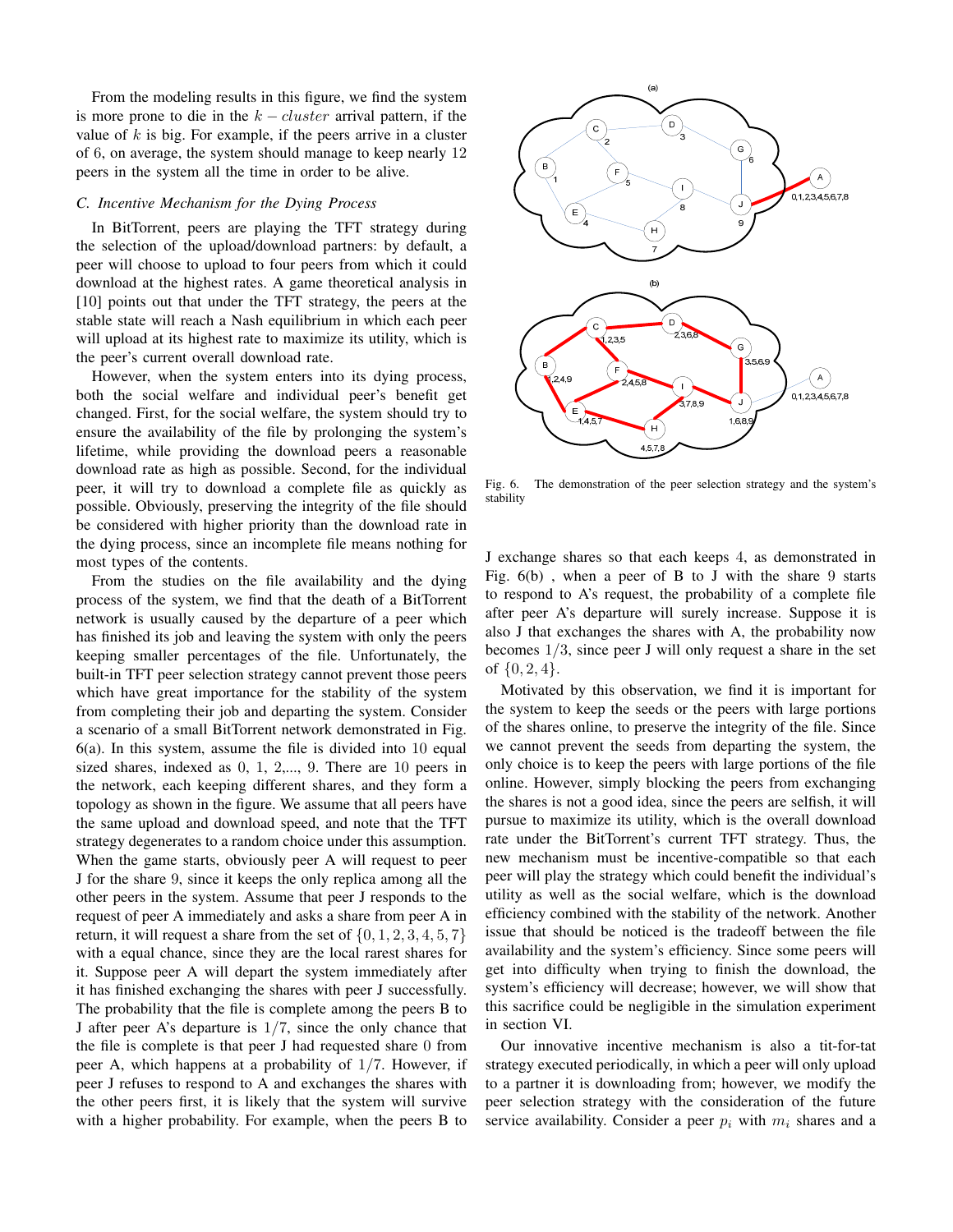From the modeling results in this figure, we find the system is more prone to die in the  $k - cluster$  arrival pattern, if the value of  $k$  is big. For example, if the peers arrive in a cluster of 6, on average, the system should manage to keep nearly 12 peers in the system all the time in order to be alive.

#### *C. Incentive Mechanism for the Dying Process*

In BitTorrent, peers are playing the TFT strategy during the selection of the upload/download partners: by default, a peer will choose to upload to four peers from which it could download at the highest rates. A game theoretical analysis in [10] points out that under the TFT strategy, the peers at the stable state will reach a Nash equilibrium in which each peer will upload at its highest rate to maximize its utility, which is the peer's current overall download rate.

However, when the system enters into its dying process, both the social welfare and individual peer's benefit get changed. First, for the social welfare, the system should try to ensure the availability of the file by prolonging the system's lifetime, while providing the download peers a reasonable download rate as high as possible. Second, for the individual peer, it will try to download a complete file as quickly as possible. Obviously, preserving the integrity of the file should be considered with higher priority than the download rate in the dying process, since an incomplete file means nothing for most types of the contents.

From the studies on the file availability and the dying process of the system, we find that the death of a BitTorrent network is usually caused by the departure of a peer which has finished its job and leaving the system with only the peers keeping smaller percentages of the file. Unfortunately, the built-in TFT peer selection strategy cannot prevent those peers which have great importance for the stability of the system from completing their job and departing the system. Consider a scenario of a small BitTorrent network demonstrated in Fig. 6(a). In this system, assume the file is divided into 10 equal sized shares, indexed as 0, 1, 2, ..., 9. There are 10 peers in the network, each keeping different shares, and they form a topology as shown in the figure. We assume that all peers have the same upload and download speed, and note that the TFT strategy degenerates to a random choice under this assumption. When the game starts, obviously peer A will request to peer J for the share 9, since it keeps the only replica among all the other peers in the system. Assume that peer J responds to the request of peer A immediately and asks a share from peer A in return, it will request a share from the set of  $\{0, 1, 2, 3, 4, 5, 7\}$ with a equal chance, since they are the local rarest shares for it. Suppose peer A will depart the system immediately after it has finished exchanging the shares with peer J successfully. The probability that the file is complete among the peers B to J after peer A's departure is  $1/7$ , since the only chance that the file is complete is that peer J had requested share 0 from peer A, which happens at a probability of 1/7. However, if peer J refuses to respond to A and exchanges the shares with the other peers first, it is likely that the system will survive with a higher probability. For example, when the peers B to



Fig. 6. The demonstration of the peer selection strategy and the system's stability

J exchange shares so that each keeps 4, as demonstrated in Fig.  $6(b)$ , when a peer of B to J with the share 9 starts to respond to A's request, the probability of a complete file after peer A's departure will surely increase. Suppose it is also J that exchanges the shares with A, the probability now becomes 1/3, since peer J will only request a share in the set of  $\{0, 2, 4\}.$ 

Motivated by this observation, we find it is important for the system to keep the seeds or the peers with large portions of the shares online, to preserve the integrity of the file. Since we cannot prevent the seeds from departing the system, the only choice is to keep the peers with large portions of the file online. However, simply blocking the peers from exchanging the shares is not a good idea, since the peers are selfish, it will pursue to maximize its utility, which is the overall download rate under the BitTorrent's current TFT strategy. Thus, the new mechanism must be incentive-compatible so that each peer will play the strategy which could benefit the individual's utility as well as the social welfare, which is the download efficiency combined with the stability of the network. Another issue that should be noticed is the tradeoff between the file availability and the system's efficiency. Since some peers will get into difficulty when trying to finish the download, the system's efficiency will decrease; however, we will show that this sacrifice could be negligible in the simulation experiment in section VI.

Our innovative incentive mechanism is also a tit-for-tat strategy executed periodically, in which a peer will only upload to a partner it is downloading from; however, we modify the peer selection strategy with the consideration of the future service availability. Consider a peer  $p_i$  with  $m_i$  shares and a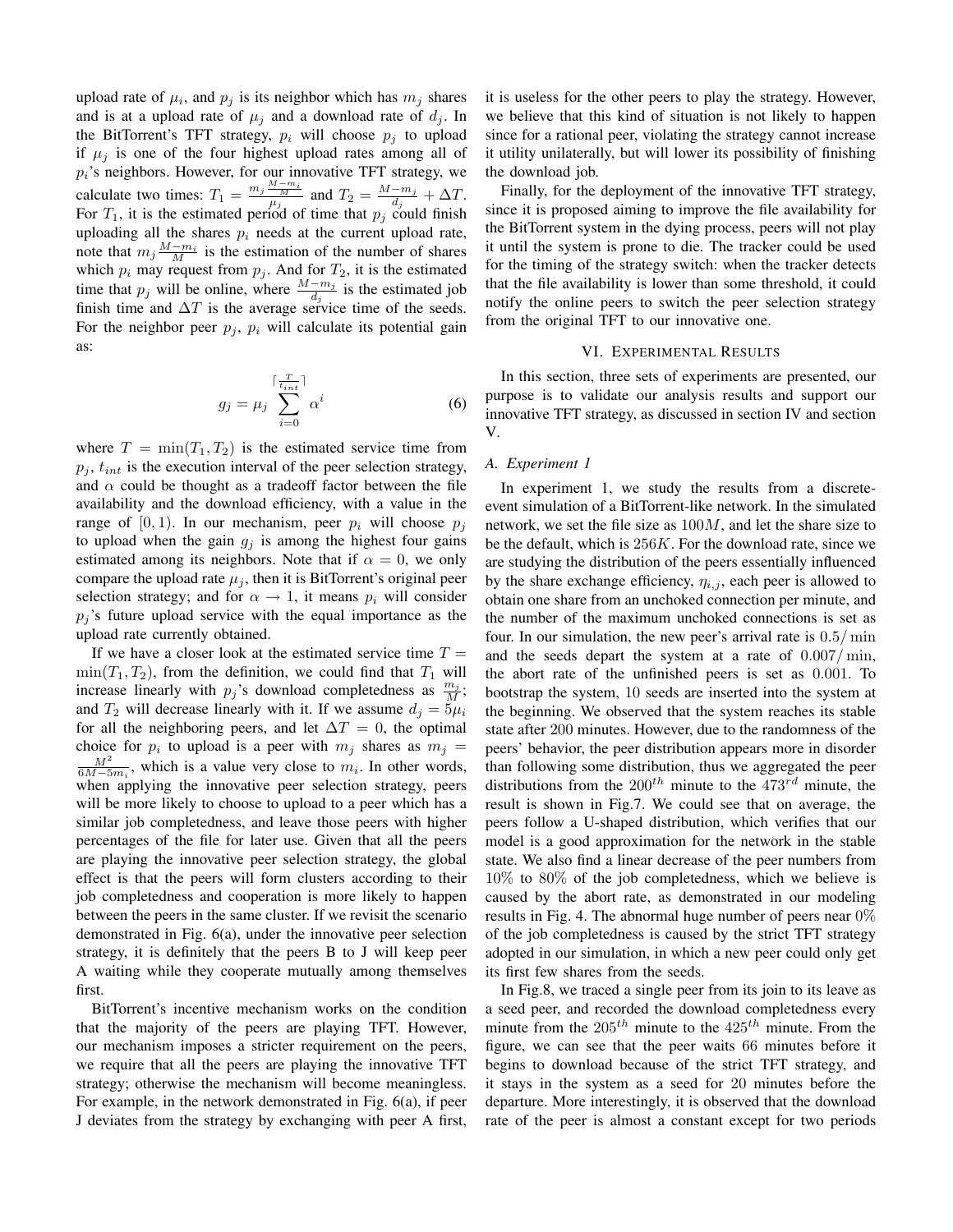upload rate of  $\mu_i$ , and  $p_j$  is its neighbor which has  $m_j$  shares and is at a upload rate of  $\mu_j$  and a download rate of  $d_j$ . In the BitTorrent's TFT strategy,  $p_i$  will choose  $p_j$  to upload if  $\mu_j$  is one of the four highest upload rates among all of  $p_i$ 's neighbors. However, for our innovative TFT strategy, we calculate two times:  $T_1 = \frac{m_j \frac{M - m_i}{M}}{\frac{\mu_j}{\mu_j}}$  and  $T_2 = \frac{M - m_j}{d_j}$  $\frac{-m_j}{d_j} + \Delta T.$ For  $T_1$ , it is the estimated period of time that  $p_j$  could finish uploading all the shares  $p_i$  needs at the current upload rate, note that  $m_j \frac{M-m_i}{M}$  is the estimation of the number of shares which  $p_i$  may request from  $p_j$ . And for  $T_2$ , it is the estimated time that  $p_j$  will be online, where  $\frac{M-m_j}{d_j}$  is the estimated job finish time and  $\Delta T$  is the average service time of the seeds. For the neighbor peer  $p_j$ ,  $p_i$  will calculate its potential gain as:

$$
g_j = \mu_j \sum_{i=0}^{\lceil \frac{T}{t_{int}} \rceil} \alpha^i
$$
 (6)

where  $T = \min(T_1, T_2)$  is the estimated service time from  $p_i, t_{int}$  is the execution interval of the peer selection strategy, and  $\alpha$  could be thought as a tradeoff factor between the file availability and the download efficiency, with a value in the range of  $[0, 1)$ . In our mechanism, peer  $p_i$  will choose  $p_j$ to upload when the gain  $g_i$  is among the highest four gains estimated among its neighbors. Note that if  $\alpha = 0$ , we only compare the upload rate  $\mu_i$ , then it is BitTorrent's original peer selection strategy; and for  $\alpha \rightarrow 1$ , it means  $p_i$  will consider  $p_j$ 's future upload service with the equal importance as the upload rate currently obtained.

If we have a closer look at the estimated service time  $T =$  $min(T_1, T_2)$ , from the definition, we could find that  $T_1$  will increase linearly with  $p_j$ 's download completedness as  $\frac{m_j}{M}$ ; and  $T_2$  will decrease linearly with it. If we assume  $d_i = 5\mu_i$ for all the neighboring peers, and let  $\Delta T = 0$ , the optimal choice for  $p_i$  to upload is a peer with  $m_j$  shares as  $m_j =$  $\frac{M^2}{6M-5m_i}$ , which is a value very close to  $m_i$ . In other words, when applying the innovative peer selection strategy, peers will be more likely to choose to upload to a peer which has a similar job completedness, and leave those peers with higher percentages of the file for later use. Given that all the peers are playing the innovative peer selection strategy, the global effect is that the peers will form clusters according to their job completedness and cooperation is more likely to happen between the peers in the same cluster. If we revisit the scenario demonstrated in Fig. 6(a), under the innovative peer selection strategy, it is definitely that the peers B to J will keep peer A waiting while they cooperate mutually among themselves first.

BitTorrent's incentive mechanism works on the condition that the majority of the peers are playing TFT. However, our mechanism imposes a stricter requirement on the peers, we require that all the peers are playing the innovative TFT strategy; otherwise the mechanism will become meaningless. For example, in the network demonstrated in Fig. 6(a), if peer J deviates from the strategy by exchanging with peer A first, it is useless for the other peers to play the strategy. However, we believe that this kind of situation is not likely to happen since for a rational peer, violating the strategy cannot increase it utility unilaterally, but will lower its possibility of finishing the download job.

Finally, for the deployment of the innovative TFT strategy, since it is proposed aiming to improve the file availability for the BitTorrent system in the dying process, peers will not play it until the system is prone to die. The tracker could be used for the timing of the strategy switch: when the tracker detects that the file availability is lower than some threshold, it could notify the online peers to switch the peer selection strategy from the original TFT to our innovative one.

#### VI. EXPERIMENTAL RESULTS

In this section, three sets of experiments are presented, our purpose is to validate our analysis results and support our innovative TFT strategy, as discussed in section IV and section V.

#### *A. Experiment 1*

In experiment 1, we study the results from a discreteevent simulation of a BitTorrent-like network. In the simulated network, we set the file size as 100M, and let the share size to be the default, which is 256K. For the download rate, since we are studying the distribution of the peers essentially influenced by the share exchange efficiency,  $\eta_{i,j}$ , each peer is allowed to obtain one share from an unchoked connection per minute, and the number of the maximum unchoked connections is set as four. In our simulation, the new peer's arrival rate is  $0.5/\min$ and the seeds depart the system at a rate of 0.007/ min, the abort rate of the unfinished peers is set as 0.001. To bootstrap the system, 10 seeds are inserted into the system at the beginning. We observed that the system reaches its stable state after 200 minutes. However, due to the randomness of the peers' behavior, the peer distribution appears more in disorder than following some distribution, thus we aggregated the peer distributions from the  $200^{th}$  minute to the 473<sup>rd</sup> minute, the result is shown in Fig.7. We could see that on average, the peers follow a U-shaped distribution, which verifies that our model is a good approximation for the network in the stable state. We also find a linear decrease of the peer numbers from 10% to 80% of the job completedness, which we believe is caused by the abort rate, as demonstrated in our modeling results in Fig. 4. The abnormal huge number of peers near 0% of the job completedness is caused by the strict TFT strategy adopted in our simulation, in which a new peer could only get its first few shares from the seeds.

In Fig.8, we traced a single peer from its join to its leave as a seed peer, and recorded the download completedness every minute from the  $205^{th}$  minute to the  $425^{th}$  minute. From the figure, we can see that the peer waits 66 minutes before it begins to download because of the strict TFT strategy, and it stays in the system as a seed for 20 minutes before the departure. More interestingly, it is observed that the download rate of the peer is almost a constant except for two periods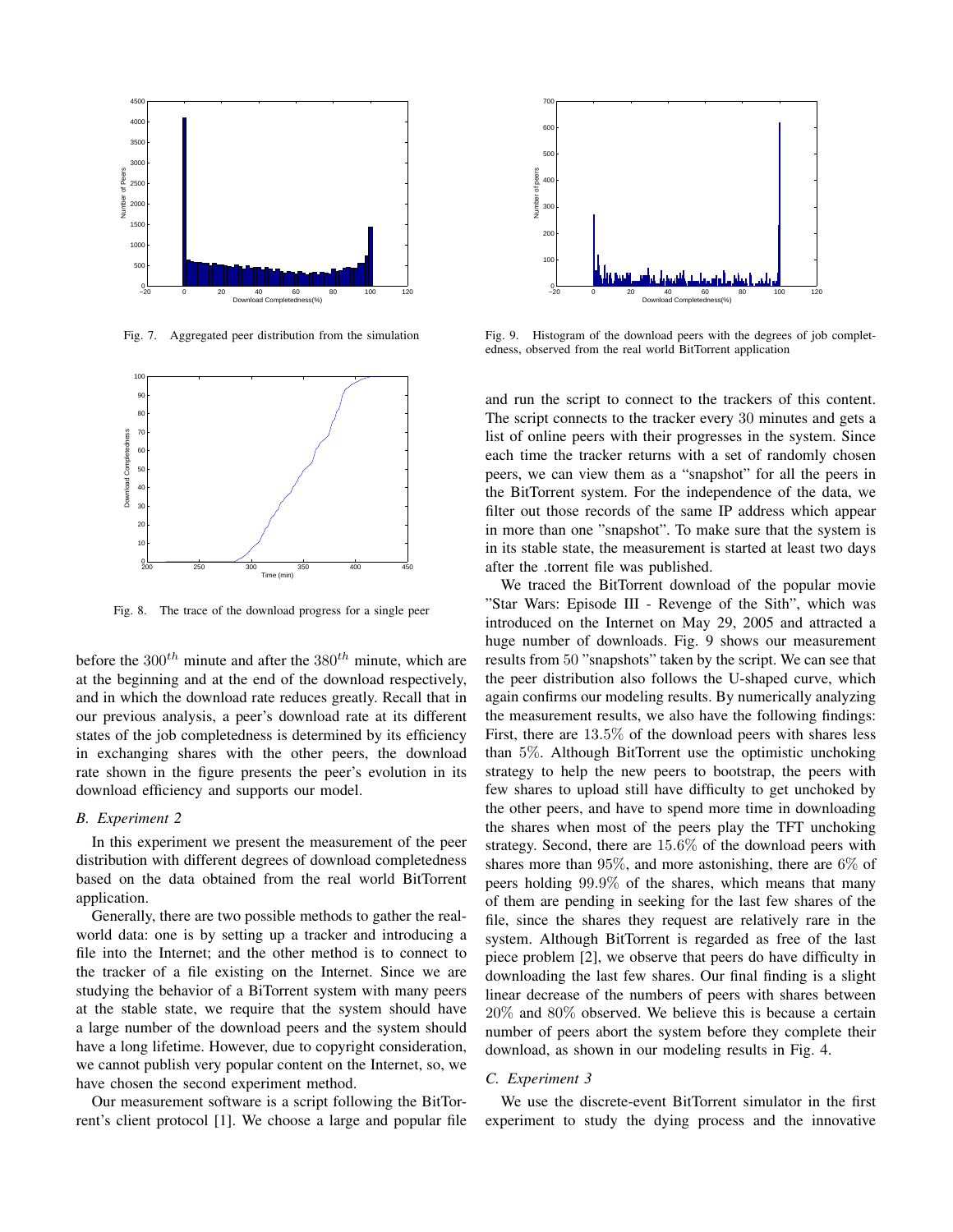

Fig. 7. Aggregated peer distribution from the simulation



Fig. 8. The trace of the download progress for a single peer

before the 300<sup>th</sup> minute and after the 380<sup>th</sup> minute, which are at the beginning and at the end of the download respectively, and in which the download rate reduces greatly. Recall that in our previous analysis, a peer's download rate at its different states of the job completedness is determined by its efficiency in exchanging shares with the other peers, the download rate shown in the figure presents the peer's evolution in its download efficiency and supports our model.

## *B. Experiment 2*

In this experiment we present the measurement of the peer distribution with different degrees of download completedness based on the data obtained from the real world BitTorrent application.

Generally, there are two possible methods to gather the realworld data: one is by setting up a tracker and introducing a file into the Internet; and the other method is to connect to the tracker of a file existing on the Internet. Since we are studying the behavior of a BiTorrent system with many peers at the stable state, we require that the system should have a large number of the download peers and the system should have a long lifetime. However, due to copyright consideration, we cannot publish very popular content on the Internet, so, we have chosen the second experiment method.

Our measurement software is a script following the BitTorrent's client protocol [1]. We choose a large and popular file



Fig. 9. Histogram of the download peers with the degrees of job completedness, observed from the real world BitTorrent application

and run the script to connect to the trackers of this content. The script connects to the tracker every 30 minutes and gets a list of online peers with their progresses in the system. Since each time the tracker returns with a set of randomly chosen peers, we can view them as a "snapshot" for all the peers in the BitTorrent system. For the independence of the data, we filter out those records of the same IP address which appear in more than one "snapshot". To make sure that the system is in its stable state, the measurement is started at least two days after the .torrent file was published.

We traced the BitTorrent download of the popular movie "Star Wars: Episode III - Revenge of the Sith", which was introduced on the Internet on May 29, 2005 and attracted a huge number of downloads. Fig. 9 shows our measurement results from 50 "snapshots" taken by the script. We can see that the peer distribution also follows the U-shaped curve, which again confirms our modeling results. By numerically analyzing the measurement results, we also have the following findings: First, there are 13.5% of the download peers with shares less than 5%. Although BitTorrent use the optimistic unchoking strategy to help the new peers to bootstrap, the peers with few shares to upload still have difficulty to get unchoked by the other peers, and have to spend more time in downloading the shares when most of the peers play the TFT unchoking strategy. Second, there are 15.6% of the download peers with shares more than 95%, and more astonishing, there are 6% of peers holding 99.9% of the shares, which means that many of them are pending in seeking for the last few shares of the file, since the shares they request are relatively rare in the system. Although BitTorrent is regarded as free of the last piece problem [2], we observe that peers do have difficulty in downloading the last few shares. Our final finding is a slight linear decrease of the numbers of peers with shares between 20% and 80% observed. We believe this is because a certain number of peers abort the system before they complete their download, as shown in our modeling results in Fig. 4.

## *C. Experiment 3*

We use the discrete-event BitTorrent simulator in the first experiment to study the dying process and the innovative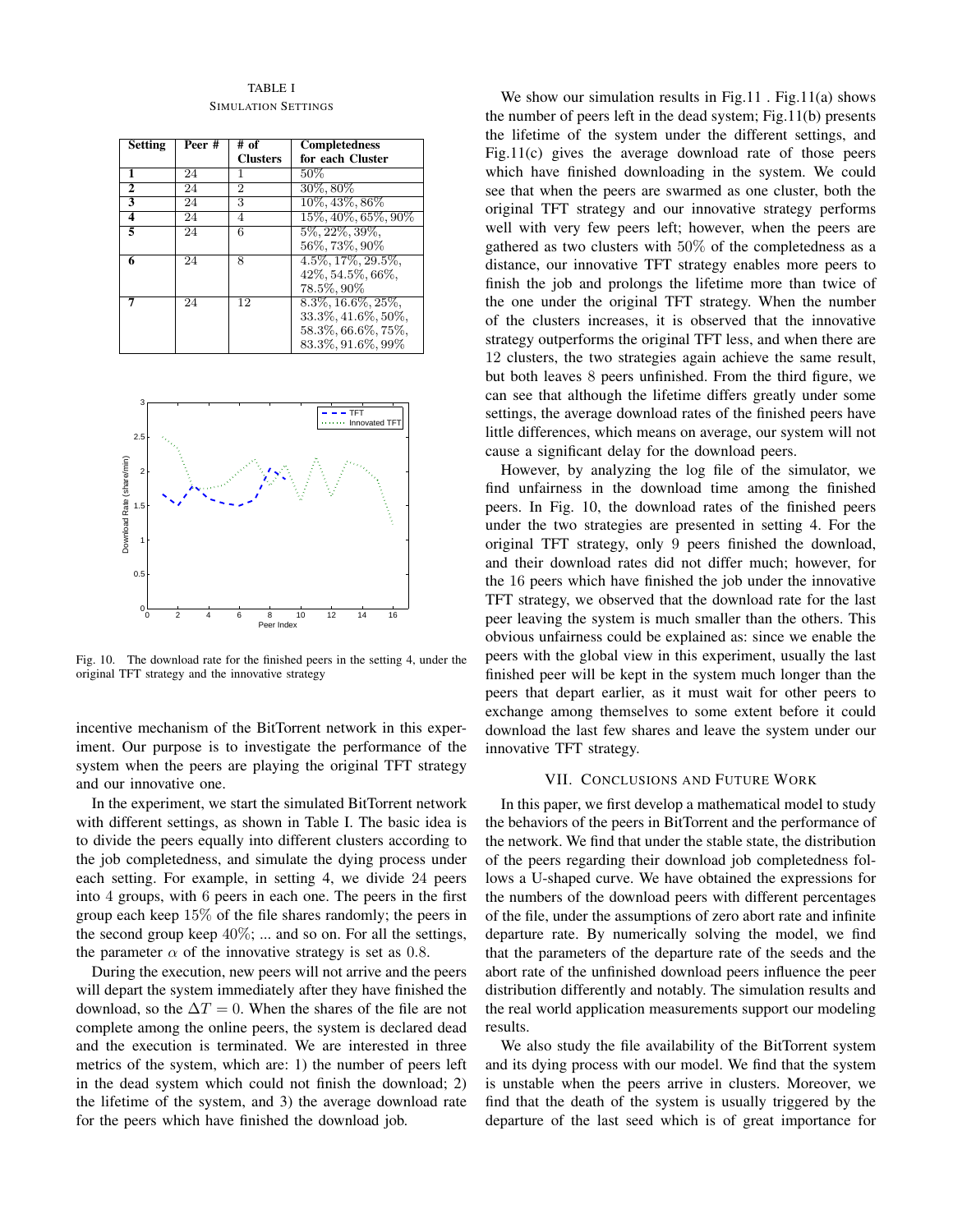## TABLE I

SIMULATION SETTINGS

| <b>Setting</b> | Peer # | # of            | <b>Completedness</b>   |
|----------------|--------|-----------------|------------------------|
|                |        | <b>Clusters</b> | for each Cluster       |
| 1              | 24     | 1               | 50%                    |
| $\mathbf{2}$   | 24     | 2               | 30%, 80%               |
| 3              | 24     | 3               | 10%, 43%, 86%          |
| 4              | 24     | 4               | 15%, 40%, 65%, 90%     |
| 5              | 24     | 6               | $5\%, 22\%, 39\%,$     |
|                |        |                 | 56%, 73%, 90%          |
| 6              | 24     | 8               | $4.5\%, 17\%, 29.5\%,$ |
|                |        |                 | 42%, 54.5%, 66%,       |
|                |        |                 | 78.5%, 90%             |
|                | 24     | 12              | $8.3\%, 16.6\%, 25\%,$ |
|                |        |                 | 33.3%, 41.6%, 50%,     |
|                |        |                 | 58.3%, 66.6%, 75%,     |
|                |        |                 | 83.3%, 91.6%, 99%      |



Fig. 10. The download rate for the finished peers in the setting 4, under the original TFT strategy and the innovative strategy

incentive mechanism of the BitTorrent network in this experiment. Our purpose is to investigate the performance of the system when the peers are playing the original TFT strategy and our innovative one.

In the experiment, we start the simulated BitTorrent network with different settings, as shown in Table I. The basic idea is to divide the peers equally into different clusters according to the job completedness, and simulate the dying process under each setting. For example, in setting 4, we divide 24 peers into 4 groups, with 6 peers in each one. The peers in the first group each keep 15% of the file shares randomly; the peers in the second group keep  $40\%$ ; ... and so on. For all the settings, the parameter  $\alpha$  of the innovative strategy is set as 0.8.

During the execution, new peers will not arrive and the peers will depart the system immediately after they have finished the download, so the  $\Delta T = 0$ . When the shares of the file are not complete among the online peers, the system is declared dead and the execution is terminated. We are interested in three metrics of the system, which are: 1) the number of peers left in the dead system which could not finish the download; 2) the lifetime of the system, and 3) the average download rate for the peers which have finished the download job.

We show our simulation results in Fig.11. Fig.11(a) shows the number of peers left in the dead system; Fig.11(b) presents the lifetime of the system under the different settings, and Fig.11(c) gives the average download rate of those peers which have finished downloading in the system. We could see that when the peers are swarmed as one cluster, both the original TFT strategy and our innovative strategy performs well with very few peers left; however, when the peers are gathered as two clusters with 50% of the completedness as a distance, our innovative TFT strategy enables more peers to finish the job and prolongs the lifetime more than twice of the one under the original TFT strategy. When the number of the clusters increases, it is observed that the innovative strategy outperforms the original TFT less, and when there are 12 clusters, the two strategies again achieve the same result, but both leaves 8 peers unfinished. From the third figure, we can see that although the lifetime differs greatly under some settings, the average download rates of the finished peers have little differences, which means on average, our system will not cause a significant delay for the download peers.

However, by analyzing the log file of the simulator, we find unfairness in the download time among the finished peers. In Fig. 10, the download rates of the finished peers under the two strategies are presented in setting 4. For the original TFT strategy, only 9 peers finished the download, and their download rates did not differ much; however, for the 16 peers which have finished the job under the innovative TFT strategy, we observed that the download rate for the last peer leaving the system is much smaller than the others. This obvious unfairness could be explained as: since we enable the peers with the global view in this experiment, usually the last finished peer will be kept in the system much longer than the peers that depart earlier, as it must wait for other peers to exchange among themselves to some extent before it could download the last few shares and leave the system under our innovative TFT strategy.

#### VII. CONCLUSIONS AND FUTURE WORK

In this paper, we first develop a mathematical model to study the behaviors of the peers in BitTorrent and the performance of the network. We find that under the stable state, the distribution of the peers regarding their download job completedness follows a U-shaped curve. We have obtained the expressions for the numbers of the download peers with different percentages of the file, under the assumptions of zero abort rate and infinite departure rate. By numerically solving the model, we find that the parameters of the departure rate of the seeds and the abort rate of the unfinished download peers influence the peer distribution differently and notably. The simulation results and the real world application measurements support our modeling results.

We also study the file availability of the BitTorrent system and its dying process with our model. We find that the system is unstable when the peers arrive in clusters. Moreover, we find that the death of the system is usually triggered by the departure of the last seed which is of great importance for